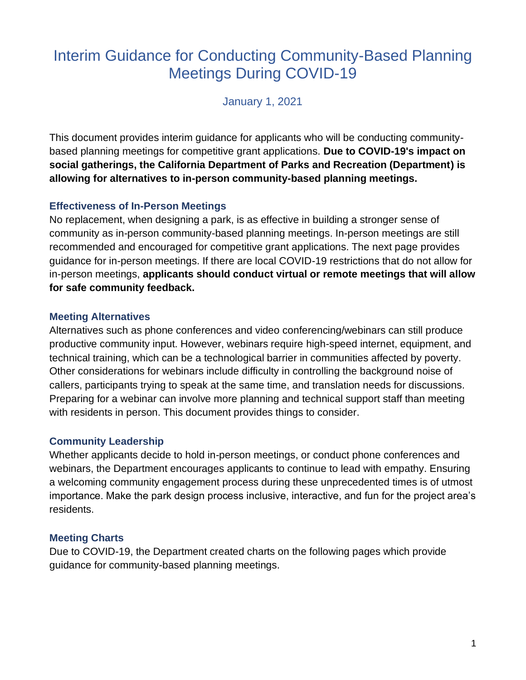# Interim Guidance for Conducting Community-Based Planning Meetings During COVID-19

January 1, 2021

This document provides interim guidance for applicants who will be conducting communitybased planning meetings for competitive grant applications. **Due to COVID-19's impact on social gatherings, the California Department of Parks and Recreation (Department) is allowing for alternatives to in-person community-based planning meetings.**

#### **Effectiveness of In-Person Meetings**

No replacement, when designing a park, is as effective in building a stronger sense of community as in-person community-based planning meetings. In-person meetings are still recommended and encouraged for competitive grant applications. The next page provides guidance for in-person meetings. If there are local COVID-19 restrictions that do not allow for in-person meetings, **applicants should conduct virtual or remote meetings that will allow for safe community feedback.** 

#### **Meeting Alternatives**

Alternatives such as phone conferences and video conferencing/webinars can still produce productive community input. However, webinars require high-speed internet, equipment, and technical training, which can be a technological barrier in communities affected by poverty. Other considerations for webinars include difficulty in controlling the background noise of callers, participants trying to speak at the same time, and translation needs for discussions. Preparing for a webinar can involve more planning and technical support staff than meeting with residents in person. This document provides things to consider.

#### **Community Leadership**

Whether applicants decide to hold in-person meetings, or conduct phone conferences and webinars, the Department encourages applicants to continue to lead with empathy. Ensuring a welcoming community engagement process during these unprecedented times is of utmost importance. Make the park design process inclusive, interactive, and fun for the project area's residents.

#### **Meeting Charts**

Due to COVID-19, the Department created charts on the following pages which provide guidance for community-based planning meetings.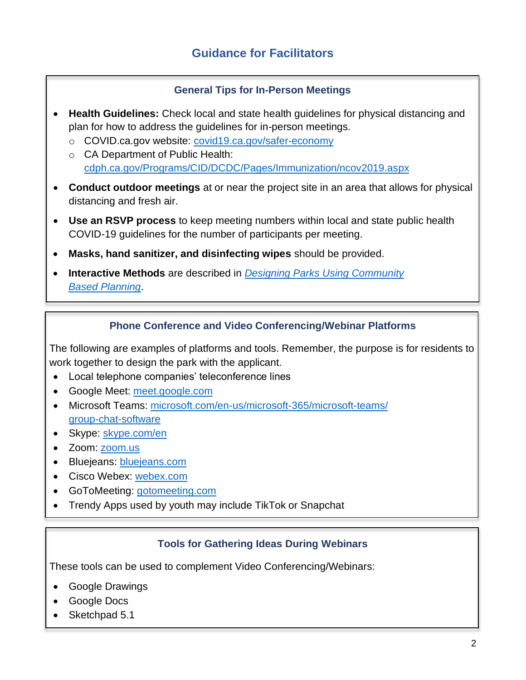#### **General Tips for In-Person Meetings**

- **Health Guidelines:** Check local and state health guidelines for physical distancing and plan for how to address the guidelines for in-person meetings.
	- o COVID.ca.gov website: [covid19.ca.gov/safer-economy](https://covid19.ca.gov/safer-economy/)
	- o CA Department of Public Health: [cdph.ca.gov/Programs/CID/DCDC/Pages/Immunization/ncov2019.aspx](file:///C:/Users/megan.harrison/AppData/Local/Microsoft/Windows/INetCache/Content.Outlook/CTXGDX5B/www.cdph.ca.gov/Programs/CID/DCDC/Pages/Immunization/ncov2019.aspx)
- **Conduct outdoor meetings** at or near the project site in an area that allows for physical distancing and fresh air.
- **Use an RSVP process** to keep meeting numbers within local and state public health COVID-19 guidelines for the number of participants per meeting.
- **Masks, hand sanitizer, and disinfecting wipes** should be provided.
- **Interactive Methods** are described in *[Designing Parks Using Community](https://www.parksforcalifornia.org/planning_guide)  [Based Planning](https://www.parksforcalifornia.org/planning_guide)*.

#### **Phone Conference and Video Conferencing/Webinar Platforms**

The following are examples of platforms and tools. Remember, the purpose is for residents to work together to design the park with the applicant.

- Local telephone companies' teleconference lines
- Google Meet: [meet.google.com](https://meet.google.com/)
- Microsoft Teams: [microsoft.com/en-us/microsoft-365/microsoft-teams/](https://www.microsoft.com/en-us/microsoft-365/microsoft-teams/group-chat-software) [group-chat-software](https://www.microsoft.com/en-us/microsoft-365/microsoft-teams/group-chat-software)
- Skype: [skype.com/en](https://www.skype.com/en/)
- Zoom: [zoom.us](https://zoom.us/)
- Bluejeans: [bluejeans.com](https://www.bluejeans.com/)
- Cisco Webex: [webex.com](https://www.webex.com/)
- GoToMeeting: [gotomeeting.com](https://www.gotomeeting.com/)
- Trendy Apps used by youth may include TikTok or Snapchat

#### **Tools for Gathering Ideas During Webinars**

These tools can be used to complement Video Conferencing/Webinars:

- Google Drawings
- Google Docs
- Sketchpad 5.1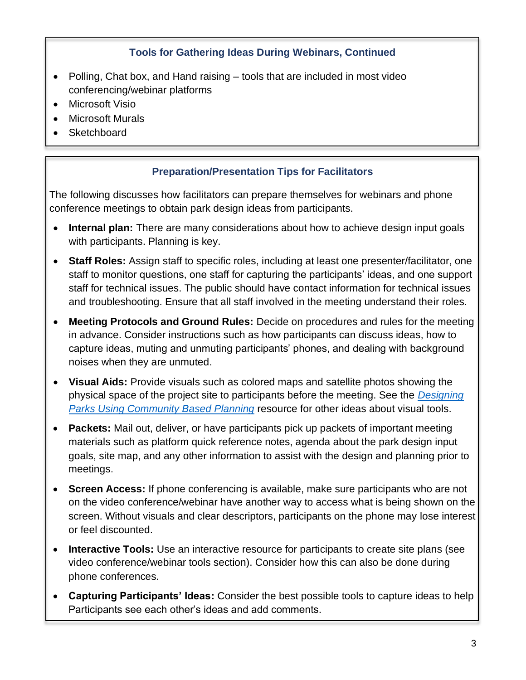#### **Tools for Gathering Ideas During Webinars, Continued**

- Polling, Chat box, and Hand raising tools that are included in most video conferencing/webinar platforms
- **Microsoft Visio**
- **Microsoft Murals**
- **Sketchboard**

#### **Preparation/Presentation Tips for Facilitators**

The following discusses how facilitators can prepare themselves for webinars and phone conference meetings to obtain park design ideas from participants.

- **Internal plan:** There are many considerations about how to achieve design input goals with participants. Planning is key.
- **Staff Roles:** Assign staff to specific roles, including at least one presenter/facilitator, one staff to monitor questions, one staff for capturing the participants' ideas, and one support staff for technical issues. The public should have contact information for technical issues and troubleshooting. Ensure that all staff involved in the meeting understand their roles.
- **Meeting Protocols and Ground Rules:** Decide on procedures and rules for the meeting in advance. Consider instructions such as how participants can discuss ideas, how to capture ideas, muting and unmuting participants' phones, and dealing with background noises when they are unmuted.
- **Visual Aids:** Provide visuals such as colored maps and satellite photos showing the physical space of the project site to participants before the meeting. See the *[Designing](https://www.parksforcalifornia.org/planning_guide)  [Parks Using Community Based Planning](https://www.parksforcalifornia.org/planning_guide)* resource for other ideas about visual tools.
- **Packets:** Mail out, deliver, or have participants pick up packets of important meeting materials such as platform quick reference notes, agenda about the park design input goals, site map, and any other information to assist with the design and planning prior to meetings.
- **Screen Access:** If phone conferencing is available, make sure participants who are not on the video conference/webinar have another way to access what is being shown on the screen. Without visuals and clear descriptors, participants on the phone may lose interest or feel discounted.
- **Interactive Tools:** Use an interactive resource for participants to create site plans (see video conference/webinar tools section). Consider how this can also be done during phone conferences.
- **Capturing Participants' Ideas:** Consider the best possible tools to capture ideas to help Participants see each other's ideas and add comments.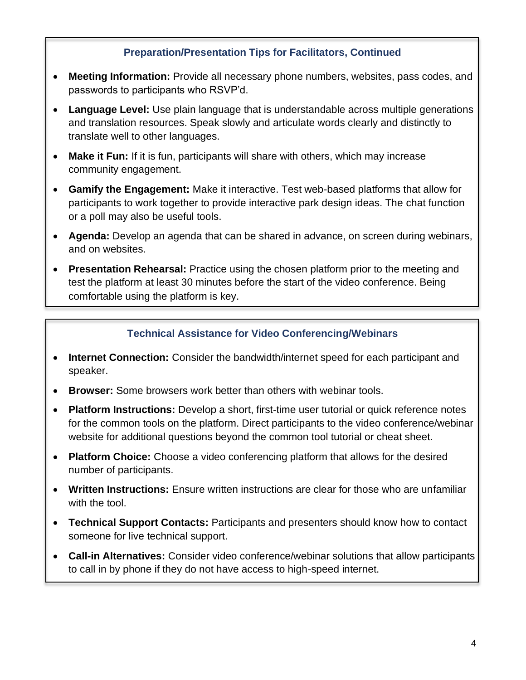#### **Preparation/Presentation Tips for Facilitators, Continued**

- **Meeting Information:** Provide all necessary phone numbers, websites, pass codes, and passwords to participants who RSVP'd.
- **Language Level:** Use plain language that is understandable across multiple generations and translation resources. Speak slowly and articulate words clearly and distinctly to translate well to other languages.
- **Make it Fun:** If it is fun, participants will share with others, which may increase community engagement.
- **Gamify the Engagement:** Make it interactive. Test web-based platforms that allow for participants to work together to provide interactive park design ideas. The chat function or a poll may also be useful tools.
- **Agenda:** Develop an agenda that can be shared in advance, on screen during webinars, and on websites.
- **Presentation Rehearsal:** Practice using the chosen platform prior to the meeting and test the platform at least 30 minutes before the start of the video conference. Being comfortable using the platform is key.

#### **Technical Assistance for Video Conferencing/Webinars**

- **Internet Connection:** Consider the bandwidth/internet speed for each participant and speaker.
- **Browser:** Some browsers work better than others with webinar tools.
- **Platform Instructions:** Develop a short, first-time user tutorial or quick reference notes for the common tools on the platform. Direct participants to the video conference/webinar website for additional questions beyond the common tool tutorial or cheat sheet.
- **Platform Choice:** Choose a video conferencing platform that allows for the desired number of participants.
- **Written Instructions:** Ensure written instructions are clear for those who are unfamiliar with the tool.
- **Technical Support Contacts:** Participants and presenters should know how to contact someone for live technical support.
- **Call-in Alternatives:** Consider video conference/webinar solutions that allow participants to call in by phone if they do not have access to high-speed internet.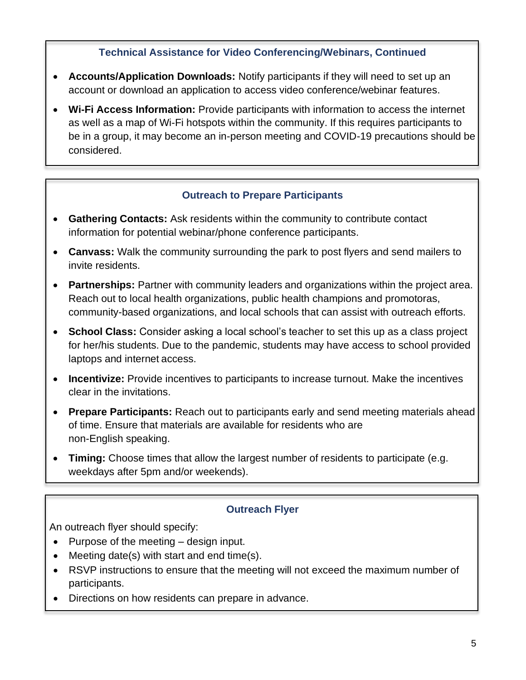#### **Technical Assistance for Video Conferencing/Webinars, Continued**

- **Accounts/Application Downloads:** Notify participants if they will need to set up an account or download an application to access video conference/webinar features.
- **Wi-Fi Access Information:** Provide participants with information to access the internet as well as a map of Wi-Fi hotspots within the community. If this requires participants to be in a group, it may become an in-person meeting and COVID-19 precautions should be considered.

#### **Outreach to Prepare Participants**

- **Gathering Contacts:** Ask residents within the community to contribute contact information for potential webinar/phone conference participants.
- **Canvass:** Walk the community surrounding the park to post flyers and send mailers to invite residents.
- **Partnerships:** Partner with community leaders and organizations within the project area. Reach out to local health organizations, public health champions and promotoras, community-based organizations, and local schools that can assist with outreach efforts.
- **School Class:** Consider asking a local school's teacher to set this up as a class project for her/his students. Due to the pandemic, students may have access to school provided laptops and internet access.
- **Incentivize:** Provide incentives to participants to increase turnout. Make the incentives clear in the invitations.
- **Prepare Participants:** Reach out to participants early and send meeting materials ahead of time. Ensure that materials are available for residents who are non-English speaking.
- **Timing:** Choose times that allow the largest number of residents to participate (e.g. weekdays after 5pm and/or weekends).

#### **Outreach Flyer**

An outreach flyer should specify:

- Purpose of the meeting design input.
- Meeting date(s) with start and end time(s).
- RSVP instructions to ensure that the meeting will not exceed the maximum number of participants.
- Directions on how residents can prepare in advance.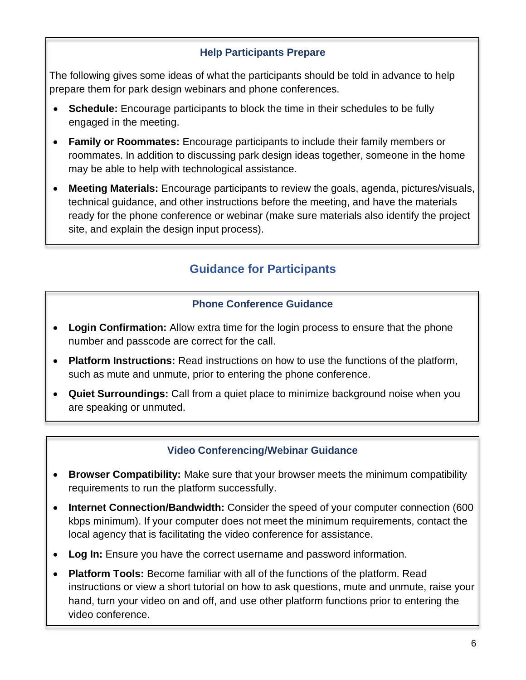#### **Help Participants Prepare**

The following gives some ideas of what the participants should be told in advance to help prepare them for park design webinars and phone conferences.

- **Schedule:** Encourage participants to block the time in their schedules to be fully engaged in the meeting.
- **Family or Roommates:** Encourage participants to include their family members or roommates. In addition to discussing park design ideas together, someone in the home may be able to help with technological assistance.
- **Meeting Materials:** Encourage participants to review the goals, agenda, pictures/visuals, technical guidance, and other instructions before the meeting, and have the materials ready for the phone conference or webinar (make sure materials also identify the project site, and explain the design input process).

## **Guidance for Participants**

#### **Phone Conference Guidance**

- **Login Confirmation:** Allow extra time for the login process to ensure that the phone number and passcode are correct for the call.
- **Platform Instructions:** Read instructions on how to use the functions of the platform, such as mute and unmute, prior to entering the phone conference.
- **Quiet Surroundings:** Call from a quiet place to minimize background noise when you are speaking or unmuted.

#### **Video Conferencing/Webinar Guidance**

- **Browser Compatibility:** Make sure that your browser meets the minimum compatibility requirements to run the platform successfully.
- **Internet Connection/Bandwidth:** Consider the speed of your computer connection (600 kbps minimum). If your computer does not meet the minimum requirements, contact the local agency that is facilitating the video conference for assistance.
- **Log In:** Ensure you have the correct username and password information.
- **Platform Tools:** Become familiar with all of the functions of the platform. Read instructions or view a short tutorial on how to ask questions, mute and unmute, raise your hand, turn your video on and off, and use other platform functions prior to entering the video conference.